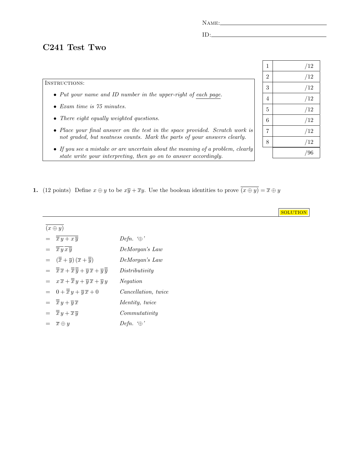NAME:

 $ID:$ 

## C241 Test Two

## INSTRUCTIONS:

- Put your name and ID number in the upper-right of each page.
- Exam time is 75 minutes.
- There eight equally weighted questions.
- Place your final answer on the test in the space provided. Scratch work is not graded, but neatness counts. Mark the parts of your answers clearly.
- If you see a mistake or are uncertain about the meaning of a problem, clearly state write your interpreting, then go on to answer accordingly.
- 1. (12 points) Define  $x \oplus y$  to be  $x\overline{y} + \overline{x}y$ . Use the boolean identities to prove  $\overline{(x \oplus y)} = \overline{x} \oplus y$

| $(x \oplus y)$                                                                                                                                             |                                    |
|------------------------------------------------------------------------------------------------------------------------------------------------------------|------------------------------------|
| $=\overline{\overline{x}\,y+x\,\overline{y}}$                                                                                                              | Defn. $\oplus$                     |
| $\overline{\overline{x}\overline{y}}\overline{x}\overline{\overline{y}}$<br>$=$                                                                            | DeMorgan's Law                     |
| $= (\overline{\overline{x}} + \overline{y}) (\overline{x} + \overline{\overline{y}})$                                                                      | DeMorgan's Law                     |
| $=\overline{\overline{x}}\,\overline{x}+\overline{\overline{x}}\,\overline{\overline{y}}+\overline{y}\,\overline{x}+\overline{y}\,\overline{\overline{y}}$ | Distributivity                     |
| $= x \overline{x} + \overline{\overline{x}} y + \overline{y} \overline{x} + \overline{y} y$                                                                | <i>Negation</i>                    |
| $= 0 + \overline{\overline{x}} y + \overline{y} \overline{x} + 0$                                                                                          | <i>Cancellation, twice</i>         |
| $= \overline{\overline{x}} y + \overline{y} \overline{x}$                                                                                                  | <i>Identity, twice</i>             |
| = . __                                                                                                                                                     | $\sim$ $\sim$ $\sim$ $\sim$ $\sim$ |

 $=\overline{\overline{x}}y + \overline{x}\overline{y}$  Commutativity

 $= \overline{x} \oplus y$  Defn. '⊕'

| $\mathbf{1}$   | /12 |
|----------------|-----|
| $\overline{2}$ | /12 |
| 3              | /12 |
| $\overline{4}$ | /12 |
| $\overline{5}$ | /12 |
| 6              | /12 |
| $\overline{7}$ | /12 |
| 8              | /12 |
|                | /96 |

**SOLUTION**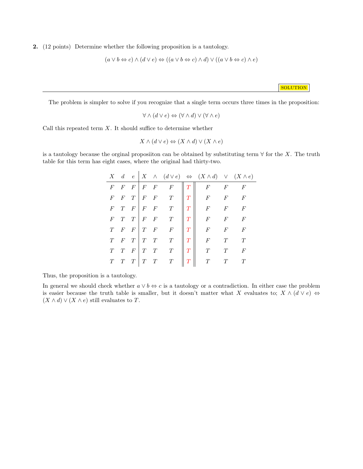2. (12 points) Determine whether the following proposition is a tautology.

$$
(a \lor b \Leftrightarrow c) \land (d \lor e) \Leftrightarrow ((a \lor b \Leftrightarrow c) \land d) \lor ((a \lor b \Leftrightarrow c) \land e)
$$

**SOLUTION** 

The problem is simpler to solve if you recognize that a single term occurs three times in the proposition:

$$
\forall \land (d \lor e) \Leftrightarrow (\forall \land d) \lor (\forall \land e)
$$

Call this repeated term  $X$ . It should suffice to determine whether

$$
X \wedge (d \vee e) \Leftrightarrow (X \wedge d) \vee (X \wedge e)
$$

is a tautology because the orginal proposition can be obtained by substituting term  $\forall$  for the X. The truth table for this term has eight cases, where the original had thirty-two.

|                  |                  |                   |                                             |        | $X \quad d \quad e \mid X \quad \wedge \quad (d \vee e) \iff (X \wedge d) \quad \vee \quad (X \wedge e)$ |                  |                  |
|------------------|------------------|-------------------|---------------------------------------------|--------|----------------------------------------------------------------------------------------------------------|------------------|------------------|
|                  |                  |                   | $F \mid F \mid F \mid F$                    |        | $F$ $F$                                                                                                  |                  | $\overline{F}$   |
| $\boldsymbol{F}$ | $\boldsymbol{F}$ | $T \mid F \mid F$ | T                                           | T      | $\begin{array}{ccc} & & F & & F \ & & F & & F \ \end{array}$                                             |                  | $\overline{F}$   |
| $F^-$            |                  |                   | $T \mid F \mid F \mid F \mid T$             | T      |                                                                                                          | $\boldsymbol{F}$ | $\overline{F}$   |
|                  |                  |                   | $F \quad T \quad T \mid F \quad F \quad T$  |        | $\overline{F}$                                                                                           |                  | $\overline{F}$   |
| T                |                  |                   | $F \mid T \mid F \mid F \mid F$             |        | $\overline{F}$                                                                                           |                  | $\overline{F}$   |
| T                | $\overline{F}$   | $T \mid T \mid T$ | T                                           |        | $F^-$                                                                                                    |                  | T                |
|                  |                  | $F \mid T \mid T$ | T                                           |        |                                                                                                          |                  | $\boldsymbol{F}$ |
|                  |                  |                   | $T \begin{bmatrix} T & T & T \end{bmatrix}$ | $\tau$ | $\overline{T}$                                                                                           | $\tau$           |                  |

Thus, the proposition is a tautology.

In general we should check whether  $a \vee b \Leftrightarrow c$  is a tautology or a contradiction. In either case the problem is easier because the truth table is smaller, but it doesn't matter what X evaluates to;  $X \wedge (d \vee e) \Leftrightarrow$  $(X \wedge d) \vee (X \wedge e)$  still evaluates to T.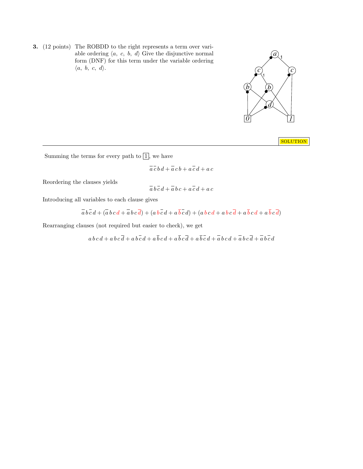3. (12 points) The ROBDD to the right represents a term over variable ordering  $\langle a, c, b, d \rangle$  Give the disjunctive normal form (DNF) for this term under the variable ordering  $\langle a, b, c, d \rangle$ .



**SOLUTION** 

Summing the terms for every path to  $\boxed{1}$ , we have

$$
\overline{a}\ \overline{c}\ \overline{b}\ \overline{d} + \overline{a}\ \overline{c}\ \overline{b} + \overline{a}\ \overline{c}\ \overline{d} + \overline{a}\ \overline{c}
$$

Reordering the clauses yields

$$
\overline{a}\,b\,\overline{c}\,d + \overline{a}\,b\,c + a\,\overline{c}\,d + a\,c
$$

Introducing all variables to each clause gives

$$
\overline{a}\,\overline{b}\,\overline{c}\,d + (\overline{a}\,b\,c\,d + \overline{a}\,b\,c\,\overline{d}) + (a\,b\,\overline{c}\,d + a\,\overline{b}\,\overline{c}\,d) + (a\,b\,c\,d + a\,b\,c\,\overline{d} + a\,\overline{b}\,c\,d + a\,\overline{b}\,c\,\overline{d})
$$

Rearranging clauses (not required but easier to check), we get

 $a\,b\,c\,d + a\,b\,c\,\overline{d} + a\,b\,\overline{c}\,d + a\,\overline{b}\,c\,d + a\,\overline{b}\,c\,\overline{d} + a\,\overline{b}\,\overline{c}\,d + \overline{a}\,b\,c\,d + \overline{a}\,b\,c\,\overline{d} + \overline{a}\,b\,\overline{c}\,d$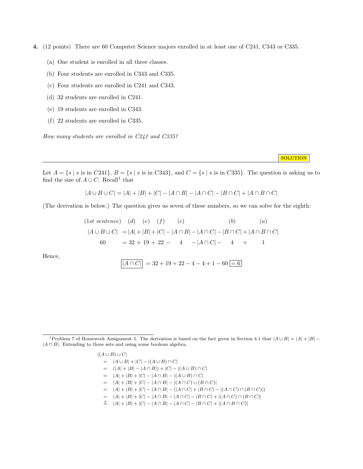- 4. (12 points) There are 60 Computer Science majors enrolled in at least one of C241, C343 or C335.
	- (a) One student is enrolled in all three classes.
	- (b) Four students are enrolled in C343 and C335.
	- (c) Four students are enrolled in C241 and C343.
	- (d) 32 students are enrolled in C241.
	- (e) 19 students are enrolled in C343.
	- (f) 22 students are enrolled in C335.

How many students are enrolled in C241 and C335?

**SOLUTION** 

Let  $A = \{s \mid s \text{ is in } C241\}, B = \{s \mid s \text{ is in } C343\}, \text{ and } C = \{s \mid s \text{ is in } C335\}.$  The question is asking us to find the size of  $A \cup C$ . Recall<sup>1</sup> that

$$
|A \cup B \cup C| = |A| + |B| + |C| - |A \cap B| - |A \cap C| - |B \cap C| + |A \cap B \cap C|
$$

(The derivation is below.) The question gives us seven of these numbers, so we can solve for the eighth:

$$
(1st sentence) (d) (e) (f) (c) (b) (a)
$$
  
\n
$$
|A \cup B \cup C| = |A| + |B| + |C| - |A \cap B| - |A \cap C| - |B \cap C| + |A \cap B \cap C|
$$
  
\n
$$
60 = 32 + 19 + 22 - 4 - |A \cap C| - 4 + 1
$$

Hence,

$$
\overline{|A \cap C|} = 32 + 19 + 22 - 4 - 4 + 1 - 60 = 6
$$

<sup>&</sup>lt;sup>1</sup>Problem 7 of Homework Assignment 5. The derivation is based on the fact given in Section 4.1 that  $|A \cup B| = |A| + |B|$  $|A \cap B|$ . Extending to three sets and using some boolean algebra,

 $|(A \cup B) \cup C|$  $= |A \cup B| + |C| - |(A \cup B) \cap C|$  $= (|A| + |B| - |A \cap B|) + |C| - |(A \cup B) \cap C|$  $= |A| + |B| + |C| - |A \cap B| - |(A \cup B) \cap C|$  $= |A| + |B| + |C| - |A \cap B| - |(A \cap C) \cup (B \cap C)|$  $= |A| + |B| + |C| - |A \cap B| - (|A \cap C| + |B \cap C| - |(A \cap C) \cap (B \cap C)|)$  $= |A| + |B| + |C| - |A \cap B| - |A \cap C| - |B \cap C| + |(A \cap C) \cap (B \cap C)|$  $\stackrel{\star}{=} |A| + |B| + |C| - |A \cap B| - |A \cap C| - |B \cap C| + |(A \cap B \cap C)|$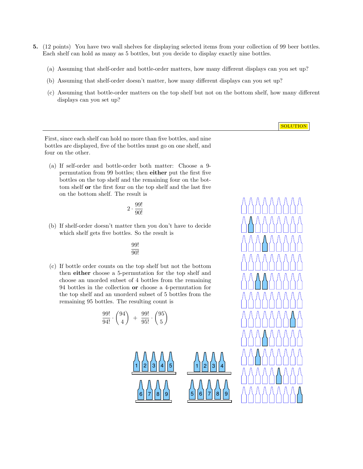- 5. (12 points) You have two wall shelves for displaying selected items from your collection of 99 beer bottles. Each shelf can hold as many as 5 bottles, but you decide to display exactly nine bottles.
	- (a) Assuming that shelf-order and bottle-order matters, how many different displays can you set up?
	- (b) Assuming that shelf-order doesn't matter, how many different displays can you set up?
	- (c) Assuming that bottle-order matters on the top shelf but not on the bottom shelf, how many different displays can you set up?

**SOLUTION** 

First, since each shelf can hold no more than five bottles, and nine bottles are displayed, five of the bottles must go on one shelf, and four on the other.

(a) If self-order and bottle-order both matter: Choose a 9 permutation from 99 bottles; then either put the first five bottles on the top shelf and the remaining four on the bottom shelf or the first four on the top shelf and the last five on the bottom shelf. The result is

$$
2\cdot\frac{99!}{90!}
$$

(b) If shelf-order doesn't matter then you don't have to decide which shelf gets five bottles. So the result is

99! 90!

(c) If bottle order counts on the top shelf but not the bottom then either choose a 5-permutation for the top shelf and choose an unorded subset of 4 bottles from the remaining 94 bottles in the collection or choose a 4-permutation for the top shelf and an unorderd subset of 5 bottles from the remaining 95 bottles. The resulting count is

$$
\frac{99!}{94!} \cdot \binom{94}{4} + \frac{99!}{95!} \cdot \binom{95}{5}
$$



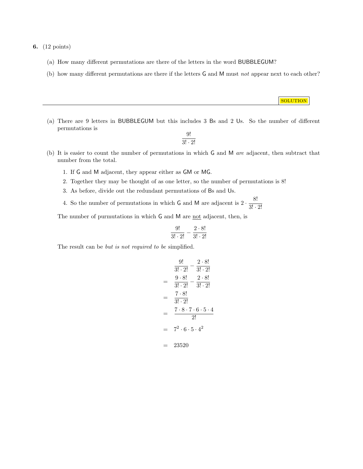6. (12 points)

- (a) How many different permutations are there of the letters in the word BUBBLEGUM?
- (b) how many different permutations are there if the letters G and M must not appear next to each other?
- (a) There are 9 letters in BUBBLEGUM but this includes 3 Bs and 2 Us. So the number of different permutations is

9!  $3! \cdot 2!$  **SOLUTION** 

- (b) It is easier to count the number of permutations in which G and M are adjacent, then subtract that number from the total.
	- 1. If G and M adjacent, they appear either as GM or MG.
	- 2. Together they may be thought of as one letter, so the number of permutations is 8!
	- 3. As before, divide out the redundant permutations of Bs and Us.
	- 4. So the number of permutations in which G and M are adjacent is  $2 \cdot \frac{8!}{2!}$  $3! \cdot 2!$

The number of purmutations in which G and M are not adjacent, then, is

$$
\frac{9!}{3! \cdot 2!} - \frac{2 \cdot 8!}{3! \cdot 2!}
$$

The result can be *but is not required to be simplified*.

$$
\frac{9!}{3! \cdot 2!} - \frac{2 \cdot 8!}{3! \cdot 2!}
$$
\n
$$
= \frac{9 \cdot 8!}{3! \cdot 2!} - \frac{2 \cdot 8!}{3! \cdot 2!}
$$
\n
$$
= \frac{7 \cdot 8!}{3! \cdot 2!}
$$
\n
$$
= \frac{7 \cdot 8 \cdot 7 \cdot 6 \cdot 5 \cdot 4}{2!}
$$
\n
$$
= 7^2 \cdot 6 \cdot 5 \cdot 4^2
$$
\n
$$
= 23520
$$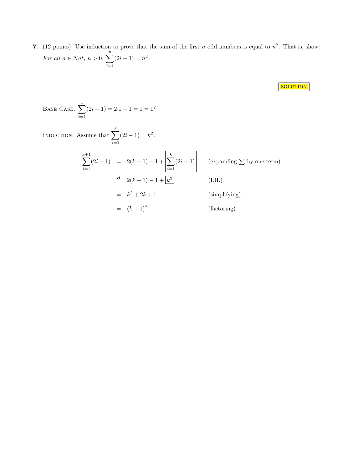7. (12 points) Use induction to prove that the sum of the first n odd numbers is equal to  $n^2$ . That is, show: For all  $n \in Nat, n > 0, \sum_{n=1}^{\infty}$  $i=1$  $(2i-1) = n^2$ .

**SOLUTION** 

Base Case. 
$$
\sum_{i=1}^{1} (2i - 1) = 2 \cdot 1 - 1 = 1 = 1^{2}
$$

\nINDUCTION. Assume that 
$$
\sum_{i=1}^{k} (2i - 1) = 2(k + 1) - 1 + \left[ \sum_{i=1}^{k} (2i - 1) \right]
$$
 (expanding  $\sum$  by one term)

\n
$$
\stackrel{H}{=} 2(k + 1) - 1 + \left[ \sum_{i=1}^{k} (2i - 1) \right]
$$
 (Expanding  $\sum$  by one term)\n
$$
\stackrel{H}{=} 2(k + 1) - 1 + \left[ \frac{k^{2}}{k^{2}} \right]
$$
 (I.H.)\n
$$
= k^{2} + 2k + 1
$$
 (simplifying)\n
$$
= (k + 1)^{2}
$$
 (factoring)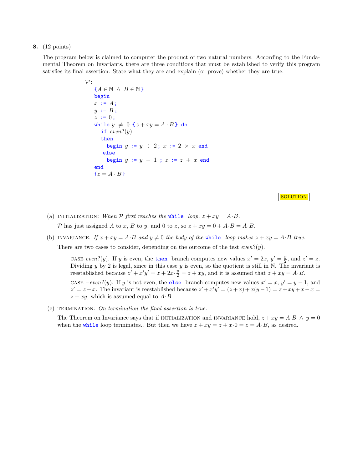## 8. (12 points)

The program below is claimed to computer the product of two natural numbers. According to the Fundamental Theorem on Invariants, there are three conditions that must be established to verify this program satisfies its final assertion. State what they are and explain (or prove) whether they are true.

```
\mathcal{P}:
{A \in \mathbb{N} \land B \in \mathbb{N}}begin
x := A;y := B;z := 0;while y \neq 0 {z + xy = A \cdot B} do
   if even?(y)then
      begin y := y \div 2; x := 2 \times x end
    else
      begin y := y - 1; z := z + x end
end
{z = A \cdot B}
```
**SOLUTION** 

- (a) INITIALIZATION: When  $P$  first reaches the while loop,  $z + xy = A \cdot B$ . P has just assigned A to x, B to y, and 0 to z, so  $z + xy = 0 + A \cdot B = A \cdot B$ .
- (b) INVARIANCE: If  $x + xy = A \cdot B$  and  $y \neq 0$  the body of the while loop makes  $z + xy = A \cdot B$  true. There are two cases to consider, depending on the outcome of the test  $even?(y)$ .

CASE even?(y). If y is even, the then branch computes new values  $x' = 2x$ ,  $y' = \frac{y}{2}$ , and  $z' = z$ . Dividing y by 2 is legal, since in this case y is even, so the quotient is still in  $\mathbb N$ . The invariant is reestablished because  $z' + x'y' = z + 2x \cdot \frac{y}{2} = z + xy$ , and it is assumed that  $z + xy = A \cdot B$ . CASE  $\neg even?$  (y). If y is not even, the else branch computes new values  $x' = x$ ,  $y' = y - 1$ , and

 $z' = z + x$ . The invariant is reestablished because  $z' + x'y' = (z + x) + x(y - 1) = z + xy + x - x =$  $z + xy$ , which is assumed equal to  $A \cdot B$ .

(c) TERMINATION: On termination the final assertion is true.

The Theorem on Invariance says that if INITIALIZATION and INVARIANCE hold,  $z + xy = A \cdot B \wedge y = 0$ when the while loop terminates.. But then we have  $z + xy = z + x \cdot 0 = z = A \cdot B$ , as desired.